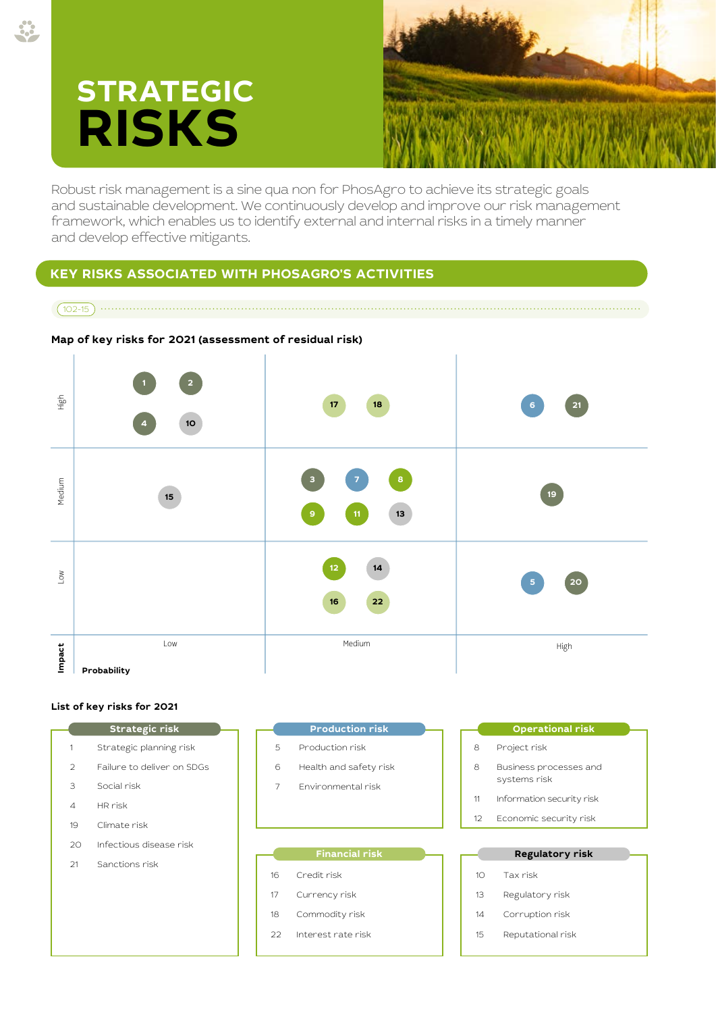# **STRATEGIC RISKS**



Robust risk management is a sine qua non for PhosAgro to achieve its strategic goals and sustainable development. We continuously develop and improve our risk management framework, which enables us to identify external and internal risks in a timely manner and develop effective mitigants.

# **KEY RISKS ASSOCIATED WITH PHOSAGRO'S ACTIVITIES**

# 102-15



## **Map of key risks for 2021 (assessment of residual risk)**

## **List of key risks for 2021**

- Strategic planning risk
- Failure to deliver on SDGs
- Social risk
- HR risk
- Climate risk
- Infectious disease risk
- Sanctions risk

**Strategic risk Production risk**

- Production risk
- Health and safety risk
- Environmental risk

### **Financial risk**

- Credit risk
- Currency risk
- Commodity risk
- Interest rate risk

#### **Operational risk**

- Project risk
- Business processes and systems risk
- Information security risk
- Economic security risk

#### **Regulatory risk**

- Tax risk
- Regulatory risk
- Corruption risk
- Reputational risk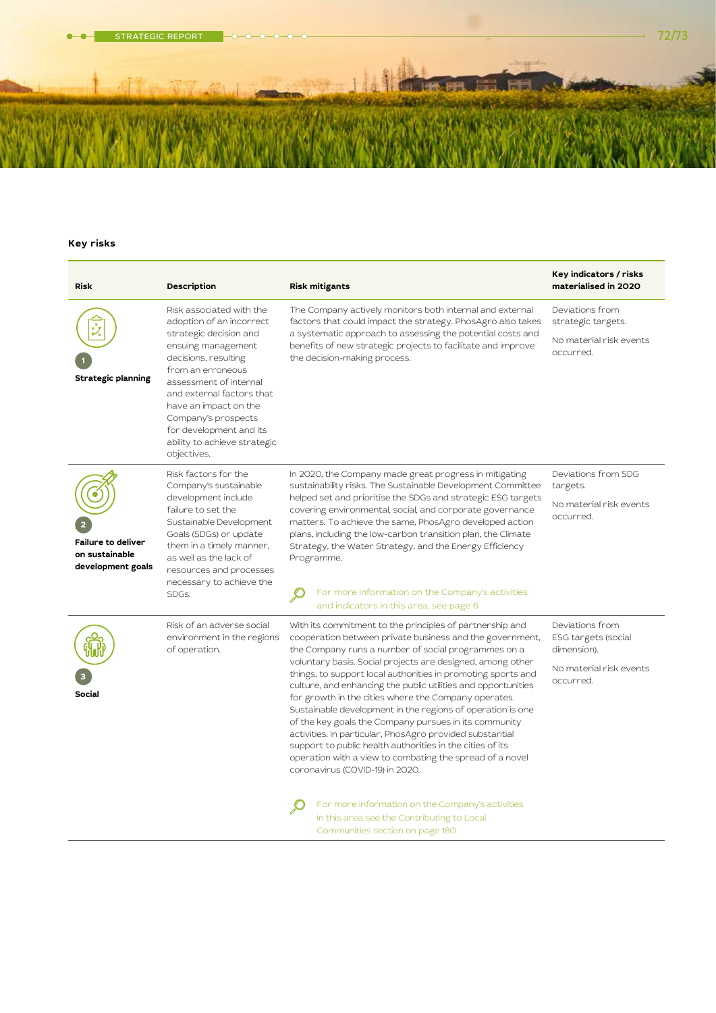STRATEGIC REPORT 72/73

# **Key risks**

| <b>Risk</b>                                                      | Description                                                                                                                                                                                                                                                                | <b>Risk mitigants</b>                                                                                                                                                                                                                                                                                                                                                                                                                                                                                                                                                                                                                                                                                                                                                                                                                                                                                                  | Key indicators / risks<br>materialised in 2020                                                |
|------------------------------------------------------------------|----------------------------------------------------------------------------------------------------------------------------------------------------------------------------------------------------------------------------------------------------------------------------|------------------------------------------------------------------------------------------------------------------------------------------------------------------------------------------------------------------------------------------------------------------------------------------------------------------------------------------------------------------------------------------------------------------------------------------------------------------------------------------------------------------------------------------------------------------------------------------------------------------------------------------------------------------------------------------------------------------------------------------------------------------------------------------------------------------------------------------------------------------------------------------------------------------------|-----------------------------------------------------------------------------------------------|
|                                                                  | Risk associated with the<br>adoption of an incorrect                                                                                                                                                                                                                       | The Company actively monitors both internal and external<br>factors that could impact the strategy. PhosAgro also takes                                                                                                                                                                                                                                                                                                                                                                                                                                                                                                                                                                                                                                                                                                                                                                                                | Deviations from<br>strategic targets.                                                         |
| <b>Strategic planning</b>                                        | strategic decision and<br>ensuing management<br>decisions, resulting<br>from an erroneous<br>assessment of internal<br>and external factors that<br>have an impact on the<br>Company's prospects<br>for development and its<br>ability to achieve strategic<br>objectives. | a systematic approach to assessing the potential costs and<br>benefits of new strategic projects to facilitate and improve<br>the decision-making process.                                                                                                                                                                                                                                                                                                                                                                                                                                                                                                                                                                                                                                                                                                                                                             | No material risk events<br>occurred.                                                          |
| <b>Failure to deliver</b><br>on sustainable<br>development goals | Risk factors for the<br>Company's sustainable<br>development include<br>failure to set the<br>Sustainable Development<br>Goals (SDGs) or update<br>them in a timely manner,<br>as well as the lack of<br>resources and processes<br>necessary to achieve the<br>SDGs.      | In 2020, the Company made great progress in mitigating<br>sustainability risks. The Sustainable Development Committee<br>helped set and prioritise the SDGs and strategic ESG targets<br>covering environmental, social, and corporate governance<br>matters. To achieve the same, PhosAgro developed action<br>plans, including the low-carbon transition plan, the Climate<br>Strategy, the Water Strategy, and the Energy Efficiency<br>Programme.<br>For more information on the Company's activities<br>and indicators in this area, see page 6                                                                                                                                                                                                                                                                                                                                                                   | Deviations from SDG<br>targets.<br>No material risk events<br>occurred.                       |
| <b>Social</b>                                                    | Risk of an adverse social<br>environment in the regions<br>of operation.                                                                                                                                                                                                   | With its commitment to the principles of partnership and<br>cooperation between private business and the government,<br>the Company runs a number of social programmes on a<br>voluntary basis. Social projects are designed, among other<br>things, to support local authorities in promoting sports and<br>culture, and enhancing the public utilities and opportunities<br>for growth in the cities where the Company operates.<br>Sustainable development in the regions of operation is one<br>of the key goals the Company pursues in its community<br>activities. In particular, PhosAgro provided substantial<br>support to public health authorities in the cities of its<br>operation with a view to combating the spread of a novel<br>coronavirus (COVID-19) in 2020.<br>For more information on the Company's activities<br>in this area see the Contributing to Local<br>Communities section on page 180 | Deviations from<br>ESG targets (social<br>dimension).<br>No material risk events<br>occurred. |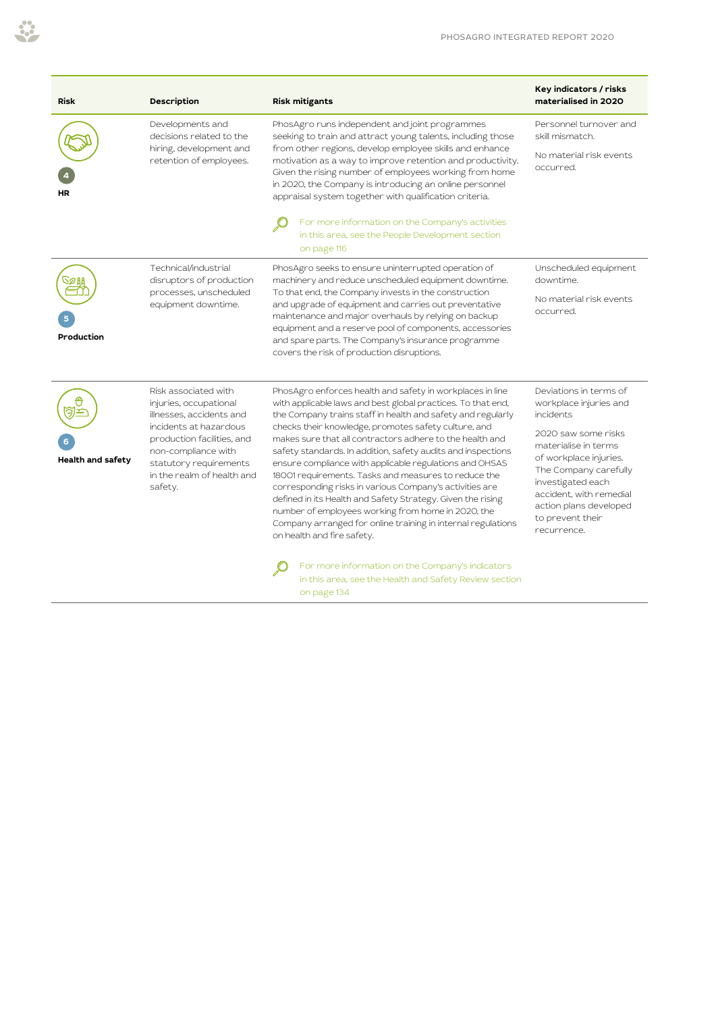| <b>Risk</b>              | Description                                                                                                                                                                                                                  | <b>Risk mitigants</b>                                                                                                                                                                                                                                                                                                                                                                                                                                                                                                                                                                                                                                                                                                                                                                                                                                                                       | Key indicators / risks<br>materialised in 2020                                                                                                                                                                                                                               |
|--------------------------|------------------------------------------------------------------------------------------------------------------------------------------------------------------------------------------------------------------------------|---------------------------------------------------------------------------------------------------------------------------------------------------------------------------------------------------------------------------------------------------------------------------------------------------------------------------------------------------------------------------------------------------------------------------------------------------------------------------------------------------------------------------------------------------------------------------------------------------------------------------------------------------------------------------------------------------------------------------------------------------------------------------------------------------------------------------------------------------------------------------------------------|------------------------------------------------------------------------------------------------------------------------------------------------------------------------------------------------------------------------------------------------------------------------------|
| ΗR                       | Developments and<br>decisions related to the<br>hiring, development and<br>retention of employees.                                                                                                                           | PhosAgro runs independent and joint programmes<br>seeking to train and attract young talents, including those<br>from other regions, develop employee skills and enhance<br>motivation as a way to improve retention and productivity.<br>Given the rising number of employees working from home<br>in 2020, the Company is introducing an online personnel<br>appraisal system together with qualification criteria.                                                                                                                                                                                                                                                                                                                                                                                                                                                                       | Personnel turnover and<br>skill mismatch.<br>No material risk events<br>occurred.                                                                                                                                                                                            |
|                          |                                                                                                                                                                                                                              | For more information on the Company's activities<br>in this area, see the People Development section<br>on page 116                                                                                                                                                                                                                                                                                                                                                                                                                                                                                                                                                                                                                                                                                                                                                                         |                                                                                                                                                                                                                                                                              |
| Production               | Technical/industrial<br>disruptors of production<br>processes, unscheduled<br>equipment downtime.                                                                                                                            | PhosAgro seeks to ensure uninterrupted operation of<br>machinery and reduce unscheduled equipment downtime.<br>To that end, the Company invests in the construction<br>and upgrade of equipment and carries out preventative<br>maintenance and major overhauls by relying on backup<br>equipment and a reserve pool of components, accessories<br>and spare parts. The Company's insurance programme<br>covers the risk of production disruptions.                                                                                                                                                                                                                                                                                                                                                                                                                                         | Unscheduled equipment<br>downtime.<br>No material risk events<br>occurred.                                                                                                                                                                                                   |
| <b>Health and safety</b> | Risk associated with<br>injuries, occupational<br>illnesses, accidents and<br>incidents at hazardous<br>production facilities, and<br>non-compliance with<br>statutory requirements<br>in the realm of health and<br>safety. | PhosAgro enforces health and safety in workplaces in line<br>with applicable laws and best global practices. To that end,<br>the Company trains staff in health and safety and regularly<br>checks their knowledge, promotes safety culture, and<br>makes sure that all contractors adhere to the health and<br>safety standards. In addition, safety audits and inspections<br>ensure compliance with applicable regulations and OHSAS<br>18001 requirements. Tasks and measures to reduce the<br>corresponding risks in various Company's activities are<br>defined in its Health and Safety Strategy. Given the rising<br>number of employees working from home in 2020, the<br>Company arranged for online training in internal regulations<br>on health and fire safety.<br>For more information on the Company's indicators<br>in this area, see the Health and Safety Review section | Deviations in terms of<br>workplace injuries and<br>incidents<br>2020 saw some risks<br>materialise in terms<br>of workplace injuries.<br>The Company carefully<br>investigated each<br>accident, with remedial<br>action plans developed<br>to prevent their<br>recurrence. |

on page 134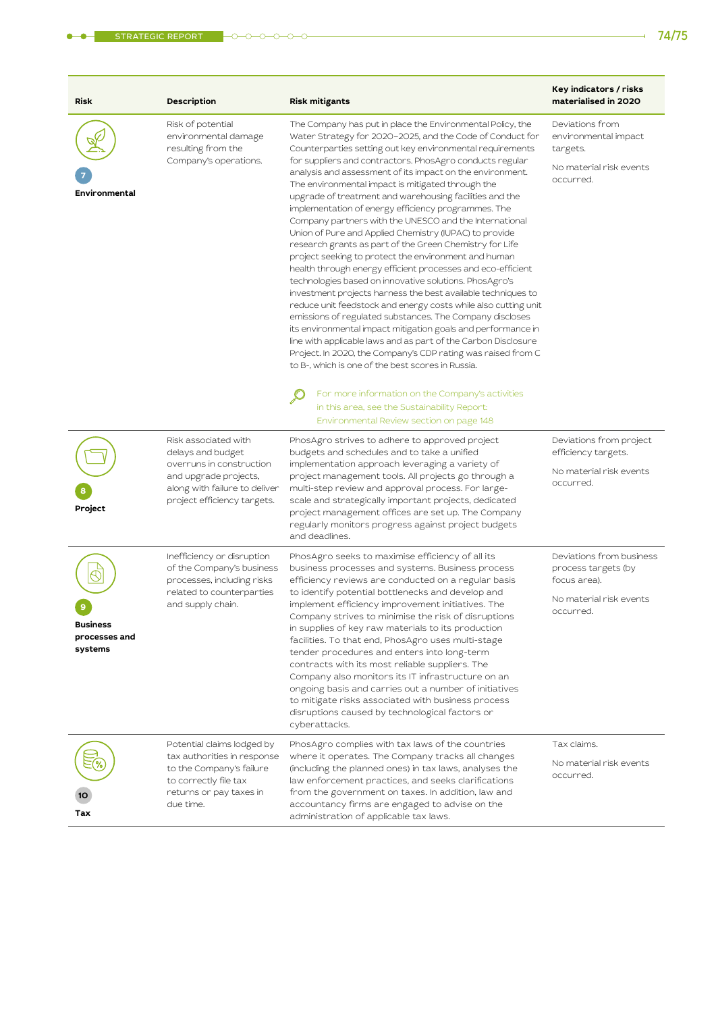۰

| <b>Risk</b>                                 | Description                                                                                                                                                    | <b>Risk mitigants</b>                                                                                                                                                                                                                                                                                                                                                                                                                                                                                                                                                                                                                                                                                                                                                                                                                                                                                                                                                                                                                                                                                                                                                                                                                                                                                     | Key indicators / risks<br>materialised in 2020                                                          |
|---------------------------------------------|----------------------------------------------------------------------------------------------------------------------------------------------------------------|-----------------------------------------------------------------------------------------------------------------------------------------------------------------------------------------------------------------------------------------------------------------------------------------------------------------------------------------------------------------------------------------------------------------------------------------------------------------------------------------------------------------------------------------------------------------------------------------------------------------------------------------------------------------------------------------------------------------------------------------------------------------------------------------------------------------------------------------------------------------------------------------------------------------------------------------------------------------------------------------------------------------------------------------------------------------------------------------------------------------------------------------------------------------------------------------------------------------------------------------------------------------------------------------------------------|---------------------------------------------------------------------------------------------------------|
| Environmental                               | Risk of potential<br>environmental damage<br>resulting from the<br>Company's operations.                                                                       | The Company has put in place the Environmental Policy, the<br>Water Strategy for 2020-2025, and the Code of Conduct for<br>Counterparties setting out key environmental requirements<br>for suppliers and contractors. PhosAgro conducts regular<br>analysis and assessment of its impact on the environment.<br>The environmental impact is mitigated through the<br>upgrade of treatment and warehousing facilities and the<br>implementation of energy efficiency programmes. The<br>Company partners with the UNESCO and the International<br>Union of Pure and Applied Chemistry (IUPAC) to provide<br>research grants as part of the Green Chemistry for Life<br>project seeking to protect the environment and human<br>health through energy efficient processes and eco-efficient<br>technologies based on innovative solutions. PhosAgro's<br>investment projects harness the best available techniques to<br>reduce unit feedstock and energy costs while also cutting unit<br>emissions of regulated substances. The Company discloses<br>its environmental impact mitigation goals and performance in<br>line with applicable laws and as part of the Carbon Disclosure<br>Project. In 2020, the Company's CDP rating was raised from C<br>to B-, which is one of the best scores in Russia. | Deviations from<br>environmental impact<br>targets.<br>No material risk events<br>occurred.             |
|                                             |                                                                                                                                                                | For more information on the Company's activities<br>in this area, see the Sustainability Report:<br>Environmental Review section on page 148                                                                                                                                                                                                                                                                                                                                                                                                                                                                                                                                                                                                                                                                                                                                                                                                                                                                                                                                                                                                                                                                                                                                                              |                                                                                                         |
| Project                                     | Risk associated with<br>delays and budget<br>overruns in construction<br>and upgrade projects,<br>along with failure to deliver<br>project efficiency targets. | PhosAgro strives to adhere to approved project<br>budgets and schedules and to take a unified<br>implementation approach leveraging a variety of<br>project management tools. All projects go through a<br>multi-step review and approval process. For large-<br>scale and strategically important projects, dedicated<br>project management offices are set up. The Company<br>regularly monitors progress against project budgets<br>and deadlines.                                                                                                                                                                                                                                                                                                                                                                                                                                                                                                                                                                                                                                                                                                                                                                                                                                                     | Deviations from project<br>efficiency targets.<br>No material risk events<br>occurred.                  |
| <b>Business</b><br>processes and<br>systems | Inefficiency or disruption<br>of the Company's business<br>processes, including risks<br>related to counterparties<br>and supply chain.                        | PhosAgro seeks to maximise efficiency of all its<br>business processes and systems. Business process<br>efficiency reviews are conducted on a regular basis<br>to identify potential bottlenecks and develop and<br>implement efficiency improvement initiatives. The<br>Company strives to minimise the risk of disruptions<br>in supplies of key raw materials to its production<br>facilities. To that end, PhosAgro uses multi-stage<br>tender procedures and enters into long-term<br>contracts with its most reliable suppliers. The<br>Company also monitors its IT infrastructure on an<br>ongoing basis and carries out a number of initiatives<br>to mitigate risks associated with business process<br>disruptions caused by technological factors or<br>cyberattacks.                                                                                                                                                                                                                                                                                                                                                                                                                                                                                                                         | Deviations from business<br>process targets (by<br>focus area).<br>No material risk events<br>occurred. |
| Tax                                         | Potential claims lodged by<br>tax authorities in response<br>to the Company's failure<br>to correctly file tax<br>returns or pay taxes in<br>due time.         | PhosAgro complies with tax laws of the countries<br>where it operates. The Company tracks all changes<br>(including the planned ones) in tax laws, analyses the<br>law enforcement practices, and seeks clarifications<br>from the government on taxes. In addition, law and<br>accountancy firms are engaged to advise on the<br>administration of applicable tax laws.                                                                                                                                                                                                                                                                                                                                                                                                                                                                                                                                                                                                                                                                                                                                                                                                                                                                                                                                  | Tax claims.<br>No material risk events<br>occurred.                                                     |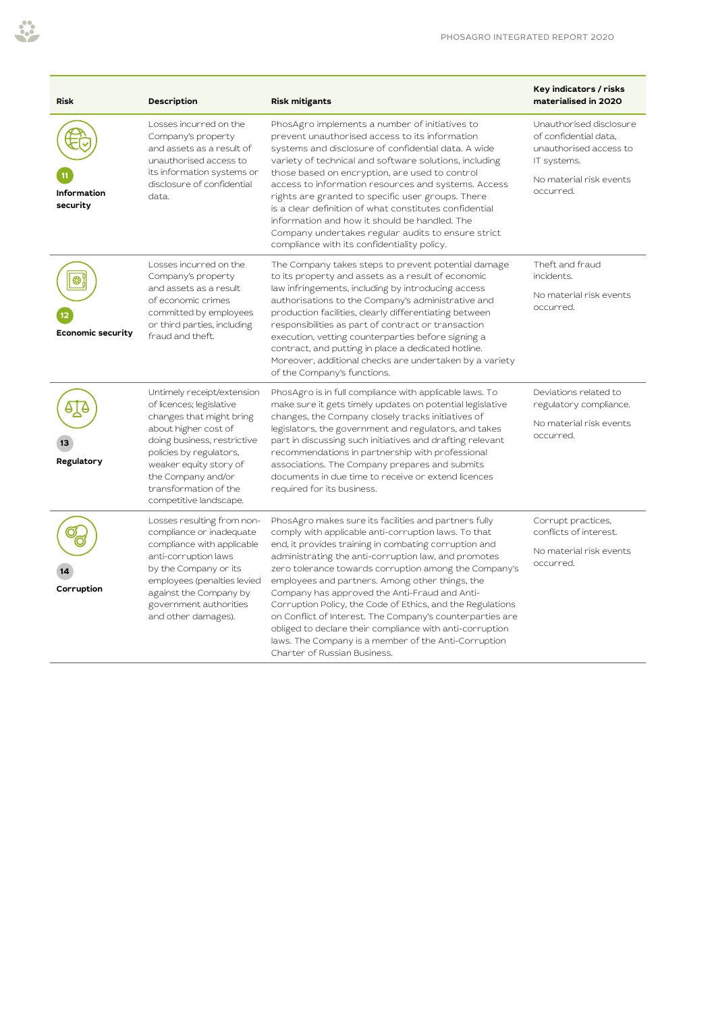| <b>Risk</b>                    | Description                                                                                                                                                                                                                                                             | Risk mitigants                                                                                                                                                                                                                                                                                                                                                                                                                                                                                                                                                                                                                                                             | Key indicators / risks<br>materialised in 2020                                                                                    |
|--------------------------------|-------------------------------------------------------------------------------------------------------------------------------------------------------------------------------------------------------------------------------------------------------------------------|----------------------------------------------------------------------------------------------------------------------------------------------------------------------------------------------------------------------------------------------------------------------------------------------------------------------------------------------------------------------------------------------------------------------------------------------------------------------------------------------------------------------------------------------------------------------------------------------------------------------------------------------------------------------------|-----------------------------------------------------------------------------------------------------------------------------------|
| <b>Information</b><br>security | Losses incurred on the<br>Company's property<br>and assets as a result of<br>unauthorised access to<br>its information systems or<br>disclosure of confidential<br>data.                                                                                                | PhosAgro implements a number of initiatives to<br>prevent unauthorised access to its information<br>systems and disclosure of confidential data. A wide<br>variety of technical and software solutions, including<br>those based on encryption, are used to control<br>access to information resources and systems. Access<br>rights are granted to specific user groups. There<br>is a clear definition of what constitutes confidential<br>information and how it should be handled. The<br>Company undertakes regular audits to ensure strict<br>compliance with its confidentiality policy.                                                                            | Unauthorised disclosure<br>of confidential data,<br>unauthorised access to<br>IT systems.<br>No material risk events<br>occurred. |
| Economic security              | Losses incurred on the<br>Company's property<br>and assets as a result<br>of economic crimes<br>committed by employees<br>or third parties, including<br>fraud and theft.                                                                                               | The Company takes steps to prevent potential damage<br>to its property and assets as a result of economic<br>law infringements, including by introducing access<br>authorisations to the Company's administrative and<br>production facilities, clearly differentiating between<br>responsibilities as part of contract or transaction<br>execution, vetting counterparties before signing a<br>contract, and putting in place a dedicated hotline.<br>Moreover, additional checks are undertaken by a variety<br>of the Company's functions.                                                                                                                              | Theft and fraud<br>incidents.<br>No material risk events<br>occurred.                                                             |
| Regulatory                     | Untimely receipt/extension<br>of licences; legislative<br>changes that might bring<br>about higher cost of<br>doing business, restrictive<br>policies by regulators,<br>weaker equity story of<br>the Company and/or<br>transformation of the<br>competitive landscape. | PhosAgro is in full compliance with applicable laws. To<br>make sure it gets timely updates on potential legislative<br>changes, the Company closely tracks initiatives of<br>legislators, the government and regulators, and takes<br>part in discussing such initiatives and drafting relevant<br>recommendations in partnership with professional<br>associations. The Company prepares and submits<br>documents in due time to receive or extend licences<br>required for its business.                                                                                                                                                                                | Deviations related to<br>regulatory compliance.<br>No material risk events<br>occurred.                                           |
| Corruption                     | Losses resulting from non-<br>compliance or inadequate<br>compliance with applicable<br>anti-corruption laws<br>by the Company or its<br>employees (penalties levied<br>against the Company by<br>government authorities<br>and other damages).                         | PhosAgro makes sure its facilities and partners fully<br>comply with applicable anti-corruption laws. To that<br>end, it provides training in combating corruption and<br>administrating the anti-corruption law, and promotes<br>zero tolerance towards corruption among the Company's<br>employees and partners. Among other things, the<br>Company has approved the Anti-Fraud and Anti-<br>Corruption Policy, the Code of Ethics, and the Regulations<br>on Conflict of Interest. The Company's counterparties are<br>obliged to declare their compliance with anti-corruption<br>laws. The Company is a member of the Anti-Corruption<br>Charter of Russian Business. | Corrupt practices,<br>conflicts of interest.<br>No material risk events<br>occurred.                                              |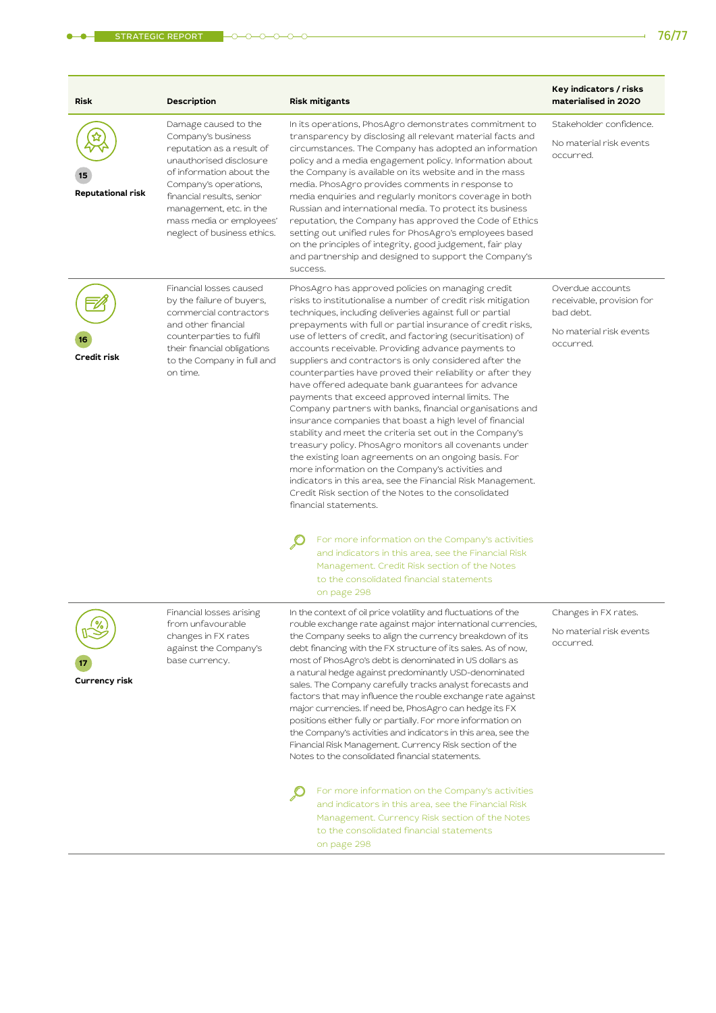| <b>Risk</b>        | Description                                                                                                                                                                                                                                                                | <b>Risk mitigants</b>                                                                                                                                                                                                                                                                                                                                                                                                                                                                                                                                                                                                                                                                                                                                                                                                                                                                                                                                                                                                                                                                                           | Key indicators / risks<br>materialised in 2020                                                     |
|--------------------|----------------------------------------------------------------------------------------------------------------------------------------------------------------------------------------------------------------------------------------------------------------------------|-----------------------------------------------------------------------------------------------------------------------------------------------------------------------------------------------------------------------------------------------------------------------------------------------------------------------------------------------------------------------------------------------------------------------------------------------------------------------------------------------------------------------------------------------------------------------------------------------------------------------------------------------------------------------------------------------------------------------------------------------------------------------------------------------------------------------------------------------------------------------------------------------------------------------------------------------------------------------------------------------------------------------------------------------------------------------------------------------------------------|----------------------------------------------------------------------------------------------------|
| Reputational risk  | Damage caused to the<br>Company's business<br>reputation as a result of<br>unauthorised disclosure<br>of information about the<br>Company's operations,<br>financial results, senior<br>management, etc. in the<br>mass media or employees'<br>neglect of business ethics. | In its operations, PhosAgro demonstrates commitment to<br>transparency by disclosing all relevant material facts and<br>circumstances. The Company has adopted an information<br>policy and a media engagement policy. Information about<br>the Company is available on its website and in the mass<br>media. PhosAgro provides comments in response to<br>media enquiries and regularly monitors coverage in both<br>Russian and international media. To protect its business<br>reputation, the Company has approved the Code of Ethics<br>setting out unified rules for PhosAgro's employees based<br>on the principles of integrity, good judgement, fair play<br>and partnership and designed to support the Company's<br>success.                                                                                                                                                                                                                                                                                                                                                                         | Stakeholder confidence.<br>No material risk events<br>occurred.                                    |
| Credit risk        | Financial losses caused<br>by the failure of buyers,<br>commercial contractors<br>and other financial<br>counterparties to fulfil<br>their financial obligations<br>to the Company in full and<br>on time.                                                                 | PhosAgro has approved policies on managing credit<br>risks to institutionalise a number of credit risk mitigation<br>techniques, including deliveries against full or partial<br>prepayments with full or partial insurance of credit risks,<br>use of letters of credit, and factoring (securitisation) of<br>accounts receivable. Providing advance payments to<br>suppliers and contractors is only considered after the<br>counterparties have proved their reliability or after they<br>have offered adequate bank guarantees for advance<br>payments that exceed approved internal limits. The<br>Company partners with banks, financial organisations and<br>insurance companies that boast a high level of financial<br>stability and meet the criteria set out in the Company's<br>treasury policy. PhosAgro monitors all covenants under<br>the existing loan agreements on an ongoing basis. For<br>more information on the Company's activities and<br>indicators in this area, see the Financial Risk Management.<br>Credit Risk section of the Notes to the consolidated<br>financial statements. | Overdue accounts<br>receivable, provision for<br>bad debt.<br>No material risk events<br>occurred. |
|                    |                                                                                                                                                                                                                                                                            | For more information on the Company's activities<br>and indicators in this area, see the Financial Risk<br>Management. Credit Risk section of the Notes<br>to the consolidated financial statements<br>on page 298                                                                                                                                                                                                                                                                                                                                                                                                                                                                                                                                                                                                                                                                                                                                                                                                                                                                                              |                                                                                                    |
| %<br>Currency risk | Financial losses arising<br>from unfavourable<br>changes in FX rates<br>against the Company's<br>base currency.                                                                                                                                                            | In the context of oil price volatility and fluctuations of the<br>rouble exchange rate against major international currencies,<br>the Company seeks to align the currency breakdown of its<br>debt financing with the FX structure of its sales. As of now,<br>most of PhosAgro's debt is denominated in US dollars as<br>a natural hedge against predominantly USD-denominated<br>sales. The Company carefully tracks analyst forecasts and<br>factors that may influence the rouble exchange rate against<br>major currencies. If need be, PhosAgro can hedge its FX<br>positions either fully or partially. For more information on<br>the Company's activities and indicators in this area, see the<br>Financial Risk Management. Currency Risk section of the<br>Notes to the consolidated financial statements.                                                                                                                                                                                                                                                                                           | Changes in FX rates.<br>No material risk events<br>occurred.                                       |
|                    |                                                                                                                                                                                                                                                                            | For more information on the Company's activities<br>and indicators in this area, see the Financial Risk<br>Management. Currency Risk section of the Notes<br>to the consolidated financial statements<br>on page 298                                                                                                                                                                                                                                                                                                                                                                                                                                                                                                                                                                                                                                                                                                                                                                                                                                                                                            |                                                                                                    |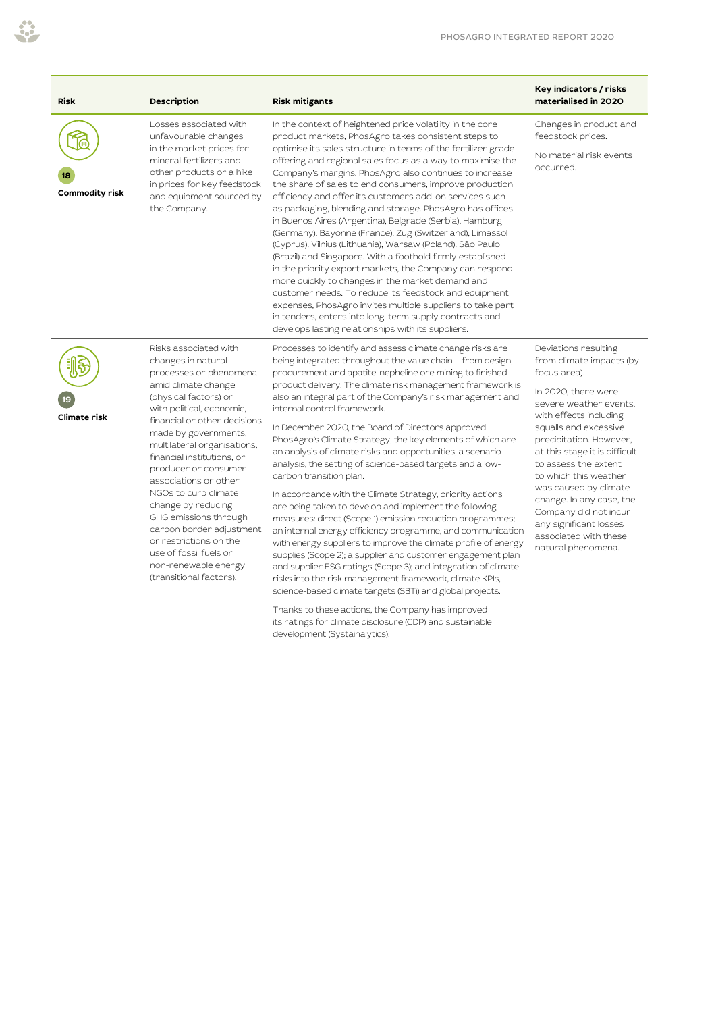| <b>Risk</b>         | Description                                                                                                                                                                                                                                                                                                                                                                                                                                                                                                                        | <b>Risk mitigants</b>                                                                                                                                                                                                                                                                                                                                                                                                                                                                                                                                                                                                                                                                                                                                                                                                                                                                                                                                                                                                                                                                                                                                                                                                                                                                                                         | Key indicators / risks<br>materialised in 2020                                                                                                                                                                                                                                                                                                                                                                                           |
|---------------------|------------------------------------------------------------------------------------------------------------------------------------------------------------------------------------------------------------------------------------------------------------------------------------------------------------------------------------------------------------------------------------------------------------------------------------------------------------------------------------------------------------------------------------|-------------------------------------------------------------------------------------------------------------------------------------------------------------------------------------------------------------------------------------------------------------------------------------------------------------------------------------------------------------------------------------------------------------------------------------------------------------------------------------------------------------------------------------------------------------------------------------------------------------------------------------------------------------------------------------------------------------------------------------------------------------------------------------------------------------------------------------------------------------------------------------------------------------------------------------------------------------------------------------------------------------------------------------------------------------------------------------------------------------------------------------------------------------------------------------------------------------------------------------------------------------------------------------------------------------------------------|------------------------------------------------------------------------------------------------------------------------------------------------------------------------------------------------------------------------------------------------------------------------------------------------------------------------------------------------------------------------------------------------------------------------------------------|
| Commodity risk      | Losses associated with<br>unfavourable changes<br>in the market prices for<br>mineral fertilizers and<br>other products or a hike<br>in prices for key feedstock<br>and equipment sourced by<br>the Company.                                                                                                                                                                                                                                                                                                                       | In the context of heightened price volatility in the core<br>product markets, PhosAgro takes consistent steps to<br>optimise its sales structure in terms of the fertilizer grade<br>offering and regional sales focus as a way to maximise the<br>Company's margins. PhosAgro also continues to increase<br>the share of sales to end consumers, improve production<br>efficiency and offer its customers add-on services such<br>as packaging, blending and storage. PhosAgro has offices<br>in Buenos Aires (Argentina), Belgrade (Serbia), Hamburg<br>(Germany), Bayonne (France), Zug (Switzerland), Limassol<br>(Cyprus), Vilnius (Lithuania), Warsaw (Poland), São Paulo<br>(Brazil) and Singapore. With a foothold firmly established<br>in the priority export markets, the Company can respond<br>more quickly to changes in the market demand and<br>customer needs. To reduce its feedstock and equipment<br>expenses, PhosAgro invites multiple suppliers to take part<br>in tenders, enters into long-term supply contracts and<br>develops lasting relationships with its suppliers.                                                                                                                                                                                                                           | Changes in product and<br>feedstock prices.<br>No material risk events<br>occurred.                                                                                                                                                                                                                                                                                                                                                      |
| <b>Climate risk</b> | Risks associated with<br>changes in natural<br>processes or phenomena<br>amid climate change<br>(physical factors) or<br>with political, economic,<br>financial or other decisions<br>made by governments,<br>multilateral organisations,<br>financial institutions, or<br>producer or consumer<br>associations or other<br>NGOs to curb climate<br>change by reducing<br>GHG emissions through<br>carbon border adjustment<br>or restrictions on the<br>use of fossil fuels or<br>non-renewable energy<br>(transitional factors). | Processes to identify and assess climate change risks are<br>being integrated throughout the value chain - from design,<br>procurement and apatite-nepheline ore mining to finished<br>product delivery. The climate risk management framework is<br>also an integral part of the Company's risk management and<br>internal control framework.<br>In December 2020, the Board of Directors approved<br>PhosAgro's Climate Strategy, the key elements of which are<br>an analysis of climate risks and opportunities, a scenario<br>analysis, the setting of science-based targets and a low-<br>carbon transition plan.<br>In accordance with the Climate Strategy, priority actions<br>are being taken to develop and implement the following<br>measures: direct (Scope 1) emission reduction programmes;<br>an internal energy efficiency programme, and communication<br>with energy suppliers to improve the climate profile of energy<br>supplies (Scope 2); a supplier and customer engagement plan<br>and supplier ESG ratings (Scope 3); and integration of climate<br>risks into the risk management framework, climate KPIs,<br>science-based climate targets (SBTi) and global projects.<br>which is the distribution of the state of the state of the state of the state of the state of the state of the $\sim$ | Deviations resulting<br>from climate impacts (by<br>focus area).<br>In 2020, there were<br>severe weather events,<br>with effects including<br>squalls and excessive<br>precipitation. However,<br>at this stage it is difficult<br>to assess the extent<br>to which this weather<br>was caused by climate<br>change. In any case, the<br>Company did not incur<br>any significant losses<br>associated with these<br>natural phenomena. |

53

Thanks to these actions, the Company has improved its ratings for climate disclosure (CDP) and sustainable development (Systainalytics).